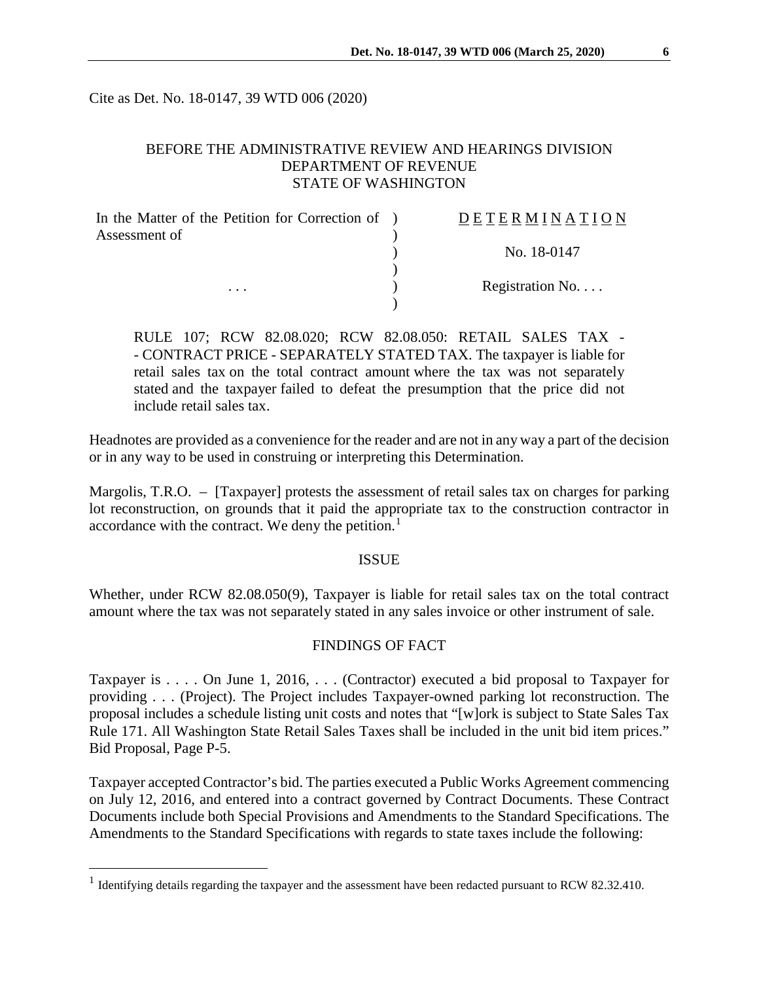Cite as Det. No. 18-0147, 39 WTD 006 (2020)

# BEFORE THE ADMINISTRATIVE REVIEW AND HEARINGS DIVISION DEPARTMENT OF REVENUE STATE OF WASHINGTON

| In the Matter of the Petition for Correction of ) | DETERMINATION   |
|---------------------------------------------------|-----------------|
| Assessment of<br>$\cdots$                         | No. 18-0147     |
|                                                   | Registration No |
|                                                   |                 |

RULE 107; RCW 82.08.020; RCW 82.08.050: RETAIL SALES TAX - - CONTRACT PRICE - SEPARATELY STATED TAX. The taxpayer is liable for retail sales tax on the total contract amount where the tax was not separately stated and the taxpayer failed to defeat the presumption that the price did not include retail sales tax.

Headnotes are provided as a convenience for the reader and are not in any way a part of the decision or in any way to be used in construing or interpreting this Determination.

Margolis, T.R.O. – [Taxpayer] protests the assessment of retail sales tax on charges for parking lot reconstruction, on grounds that it paid the appropriate tax to the construction contractor in accordance with the contract. We deny the petition.<sup>[1](#page-0-0)</sup>

## ISSUE

Whether, under RCW 82.08.050(9), Taxpayer is liable for retail sales tax on the total contract amount where the tax was not separately stated in any sales invoice or other instrument of sale.

# FINDINGS OF FACT

Taxpayer is . . . . On June 1, 2016, . . . (Contractor) executed a bid proposal to Taxpayer for providing . . . (Project). The Project includes Taxpayer-owned parking lot reconstruction. The proposal includes a schedule listing unit costs and notes that "[w]ork is subject to State Sales Tax Rule 171. All Washington State Retail Sales Taxes shall be included in the unit bid item prices." Bid Proposal, Page P-5.

Taxpayer accepted Contractor's bid. The parties executed a Public Works Agreement commencing on July 12, 2016, and entered into a contract governed by Contract Documents. These Contract Documents include both Special Provisions and Amendments to the Standard Specifications. The Amendments to the Standard Specifications with regards to state taxes include the following:

<span id="page-0-0"></span><sup>&</sup>lt;sup>1</sup> Identifying details regarding the taxpayer and the assessment have been redacted pursuant to RCW 82.32.410.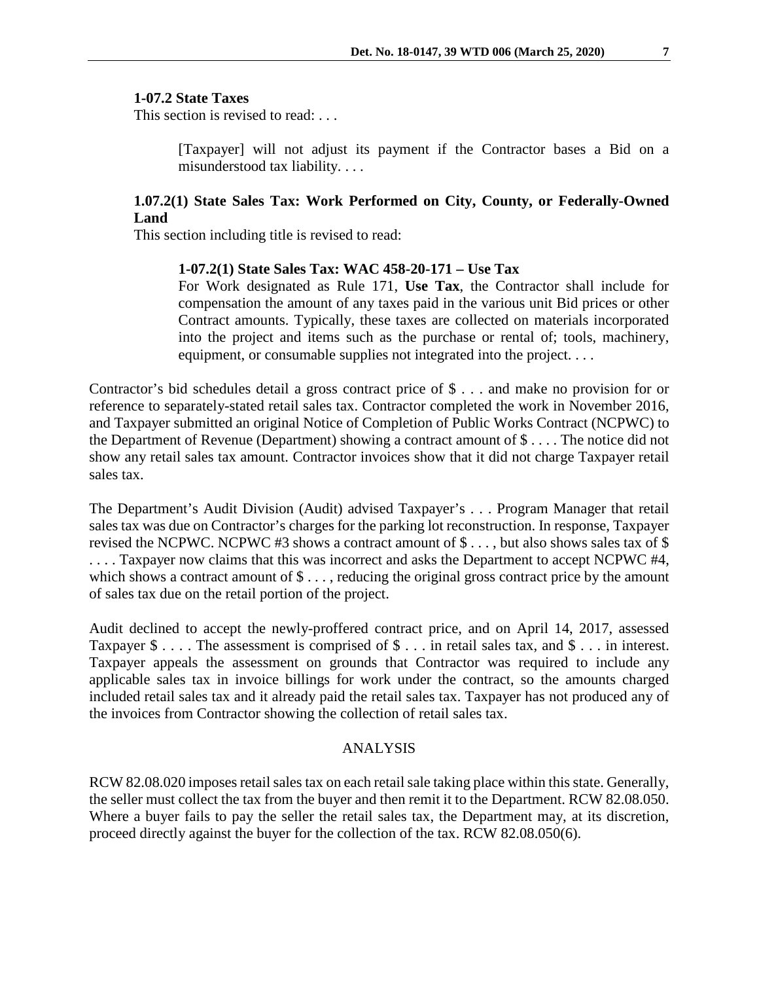### **1-07.2 State Taxes**

This section is revised to read: ...

[Taxpayer] will not adjust its payment if the Contractor bases a Bid on a misunderstood tax liability. . . .

## **1.07.2(1) State Sales Tax: Work Performed on City, County, or Federally-Owned Land**

This section including title is revised to read:

#### **1-07.2(1) State Sales Tax: WAC 458-20-171 – Use Tax**

For Work designated as Rule 171, **Use Tax**, the Contractor shall include for compensation the amount of any taxes paid in the various unit Bid prices or other Contract amounts. Typically, these taxes are collected on materials incorporated into the project and items such as the purchase or rental of; tools, machinery, equipment, or consumable supplies not integrated into the project. . . .

Contractor's bid schedules detail a gross contract price of \$ . . . and make no provision for or reference to separately-stated retail sales tax. Contractor completed the work in November 2016, and Taxpayer submitted an original Notice of Completion of Public Works Contract (NCPWC) to the Department of Revenue (Department) showing a contract amount of \$ . . . . The notice did not show any retail sales tax amount. Contractor invoices show that it did not charge Taxpayer retail sales tax.

The Department's Audit Division (Audit) advised Taxpayer's . . . Program Manager that retail sales tax was due on Contractor's charges for the parking lot reconstruction. In response, Taxpayer revised the NCPWC. NCPWC #3 shows a contract amount of \$ . . . , but also shows sales tax of \$ .... Taxpayer now claims that this was incorrect and asks the Department to accept NCPWC #4, which shows a contract amount of  $\$\ldots$ , reducing the original gross contract price by the amount of sales tax due on the retail portion of the project.

Audit declined to accept the newly-proffered contract price, and on April 14, 2017, assessed Taxpayer \$ . . . . The assessment is comprised of \$ . . . in retail sales tax, and \$ . . . in interest. Taxpayer appeals the assessment on grounds that Contractor was required to include any applicable sales tax in invoice billings for work under the contract, so the amounts charged included retail sales tax and it already paid the retail sales tax. Taxpayer has not produced any of the invoices from Contractor showing the collection of retail sales tax.

### ANALYSIS

RCW 82.08.020 imposes retail sales tax on each retail sale taking place within this state. Generally, the seller must collect the tax from the buyer and then remit it to the Department. RCW 82.08.050. Where a buyer fails to pay the seller the retail sales tax, the Department may, at its discretion, proceed directly against the buyer for the collection of the tax. RCW 82.08.050(6).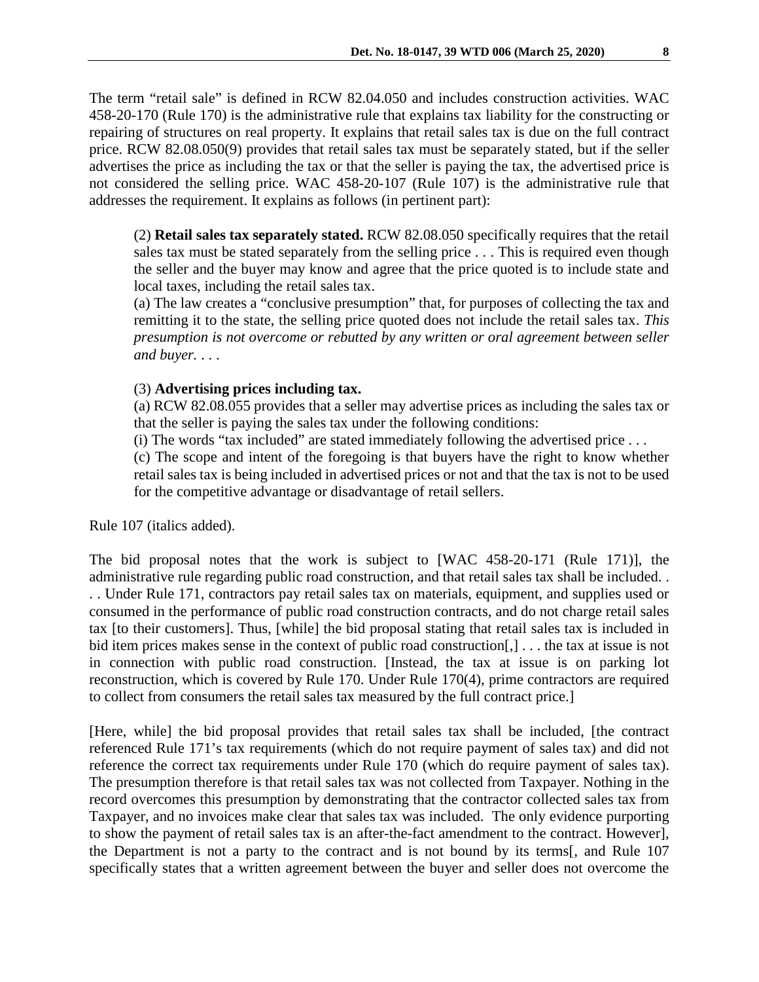The term "retail sale" is defined in RCW 82.04.050 and includes construction activities. WAC 458-20-170 (Rule 170) is the administrative rule that explains tax liability for the constructing or repairing of structures on real property. It explains that retail sales tax is due on the full contract price. RCW 82.08.050(9) provides that retail sales tax must be separately stated, but if the seller advertises the price as including the tax or that the seller is paying the tax, the advertised price is not considered the selling price. WAC 458-20-107 (Rule 107) is the administrative rule that addresses the requirement. It explains as follows (in pertinent part):

(2) **Retail sales tax separately stated.** RCW 82.08.050 specifically requires that the retail sales tax must be stated separately from the selling price . . . This is required even though the seller and the buyer may know and agree that the price quoted is to include state and local taxes, including the retail sales tax.

(a) The law creates a "conclusive presumption" that, for purposes of collecting the tax and remitting it to the state, the selling price quoted does not include the retail sales tax. *This presumption is not overcome or rebutted by any written or oral agreement between seller and buyer.* . . .

## (3) **Advertising prices including tax.**

(a) RCW 82.08.055 provides that a seller may advertise prices as including the sales tax or that the seller is paying the sales tax under the following conditions:

(i) The words "tax included" are stated immediately following the advertised price  $\dots$ 

(c) The scope and intent of the foregoing is that buyers have the right to know whether retail sales tax is being included in advertised prices or not and that the tax is not to be used for the competitive advantage or disadvantage of retail sellers.

Rule 107 (italics added).

The bid proposal notes that the work is subject to [WAC 458-20-171 (Rule 171)], the administrative rule regarding public road construction, and that retail sales tax shall be included. . . . Under Rule 171, contractors pay retail sales tax on materials, equipment, and supplies used or consumed in the performance of public road construction contracts, and do not charge retail sales tax [to their customers]. Thus, [while] the bid proposal stating that retail sales tax is included in bid item prices makes sense in the context of public road construction[,] ... the tax at issue is not in connection with public road construction. [Instead, the tax at issue is on parking lot reconstruction, which is covered by Rule 170. Under Rule 170(4), prime contractors are required to collect from consumers the retail sales tax measured by the full contract price.]

[Here, while] the bid proposal provides that retail sales tax shall be included, [the contract referenced Rule 171's tax requirements (which do not require payment of sales tax) and did not reference the correct tax requirements under Rule 170 (which do require payment of sales tax). The presumption therefore is that retail sales tax was not collected from Taxpayer. Nothing in the record overcomes this presumption by demonstrating that the contractor collected sales tax from Taxpayer, and no invoices make clear that sales tax was included. The only evidence purporting to show the payment of retail sales tax is an after-the-fact amendment to the contract. However], the Department is not a party to the contract and is not bound by its terms[, and Rule 107 specifically states that a written agreement between the buyer and seller does not overcome the